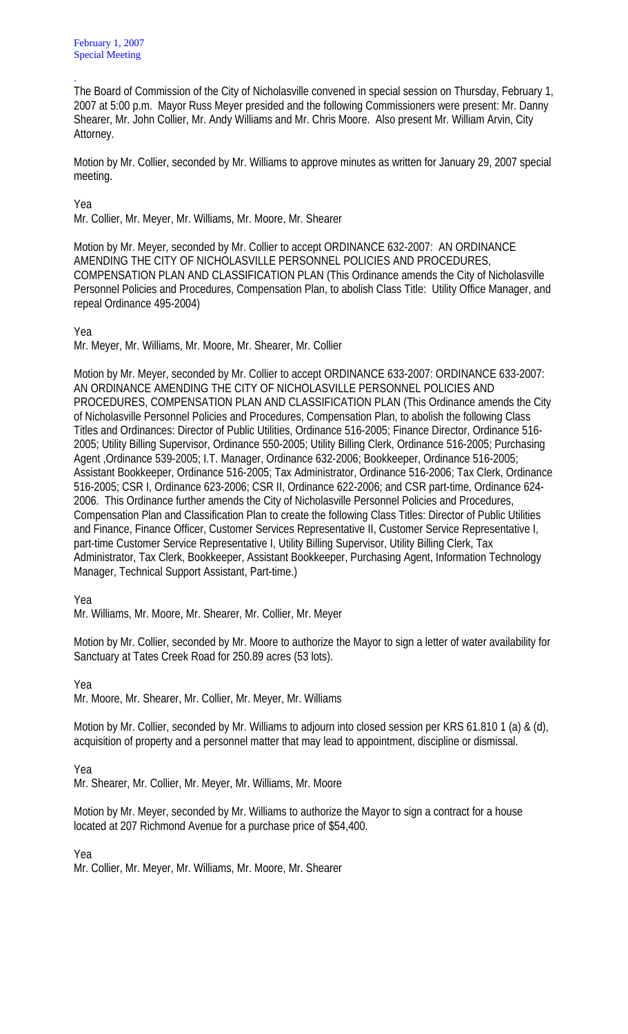. The Board of Commission of the City of Nicholasville convened in special session on Thursday, February 1, 2007 at 5:00 p.m. Mayor Russ Meyer presided and the following Commissioners were present: Mr. Danny Shearer, Mr. John Collier, Mr. Andy Williams and Mr. Chris Moore. Also present Mr. William Arvin, City Attorney.

Motion by Mr. Collier, seconded by Mr. Williams to approve minutes as written for January 29, 2007 special meeting.

Yea

Mr. Collier, Mr. Meyer, Mr. Williams, Mr. Moore, Mr. Shearer

Motion by Mr. Meyer, seconded by Mr. Collier to accept ORDINANCE 632-2007: AN ORDINANCE AMENDING THE CITY OF NICHOLASVILLE PERSONNEL POLICIES AND PROCEDURES, COMPENSATION PLAN AND CLASSIFICATION PLAN (This Ordinance amends the City of Nicholasville Personnel Policies and Procedures, Compensation Plan, to abolish Class Title: Utility Office Manager, and repeal Ordinance 495-2004)

## Yea

Mr. Meyer, Mr. Williams, Mr. Moore, Mr. Shearer, Mr. Collier

Motion by Mr. Meyer, seconded by Mr. Collier to accept ORDINANCE 633-2007: ORDINANCE 633-2007: AN ORDINANCE AMENDING THE CITY OF NICHOLASVILLE PERSONNEL POLICIES AND PROCEDURES, COMPENSATION PLAN AND CLASSIFICATION PLAN (This Ordinance amends the City of Nicholasville Personnel Policies and Procedures, Compensation Plan, to abolish the following Class Titles and Ordinances: Director of Public Utilities, Ordinance 516-2005; Finance Director, Ordinance 516- 2005; Utility Billing Supervisor, Ordinance 550-2005; Utility Billing Clerk, Ordinance 516-2005; Purchasing Agent ,Ordinance 539-2005; I.T. Manager, Ordinance 632-2006; Bookkeeper, Ordinance 516-2005; Assistant Bookkeeper, Ordinance 516-2005; Tax Administrator, Ordinance 516-2006; Tax Clerk, Ordinance 516-2005; CSR I, Ordinance 623-2006; CSR II, Ordinance 622-2006; and CSR part-time, Ordinance 624- 2006. This Ordinance further amends the City of Nicholasville Personnel Policies and Procedures, Compensation Plan and Classification Plan to create the following Class Titles: Director of Public Utilities and Finance, Finance Officer, Customer Services Representative II, Customer Service Representative I, part-time Customer Service Representative I, Utility Billing Supervisor, Utility Billing Clerk, Tax Administrator, Tax Clerk, Bookkeeper, Assistant Bookkeeper, Purchasing Agent, Information Technology Manager, Technical Support Assistant, Part-time.)

Yea

Mr. Williams, Mr. Moore, Mr. Shearer, Mr. Collier, Mr. Meyer

Motion by Mr. Collier, seconded by Mr. Moore to authorize the Mayor to sign a letter of water availability for Sanctuary at Tates Creek Road for 250.89 acres (53 lots).

Yea

Mr. Moore, Mr. Shearer, Mr. Collier, Mr. Meyer, Mr. Williams

Motion by Mr. Collier, seconded by Mr. Williams to adjourn into closed session per KRS 61.810 1 (a) & (d), acquisition of property and a personnel matter that may lead to appointment, discipline or dismissal.

Yea

Mr. Shearer, Mr. Collier, Mr. Meyer, Mr. Williams, Mr. Moore

Motion by Mr. Meyer, seconded by Mr. Williams to authorize the Mayor to sign a contract for a house located at 207 Richmond Avenue for a purchase price of \$54,400.

Yea

Mr. Collier, Mr. Meyer, Mr. Williams, Mr. Moore, Mr. Shearer